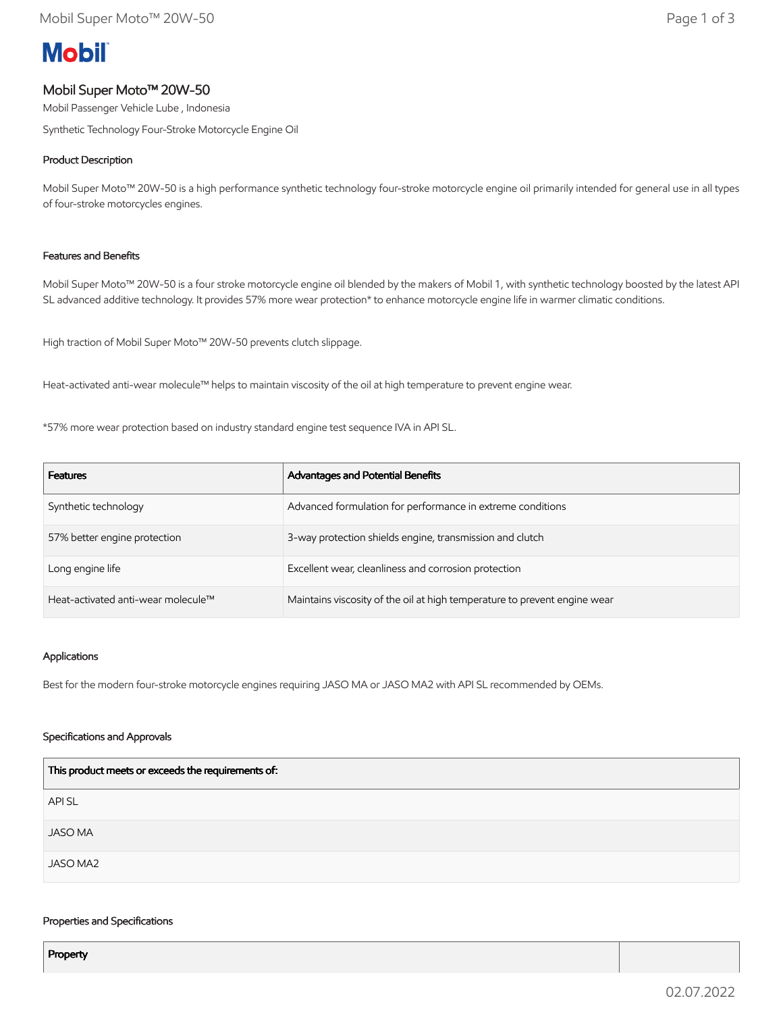# **Mobil**

# Mobil Super Moto™ 20W-50

Mobil Passenger Vehicle Lube , Indonesia

Synthetic Technology Four-Stroke Motorcycle Engine Oil

## Product Description

Mobil Super Moto™ 20W-50 is a high performance synthetic technology four-stroke motorcycle engine oil primarily intended for general use in all types of four-stroke motorcycles engines.

## Features and Benefits

Mobil Super Moto™ 20W-50 is a four stroke motorcycle engine oil blended by the makers of Mobil 1, with synthetic technology boosted by the latest API SL advanced additive technology. It provides 57% more wear protection\* to enhance motorcycle engine life in warmer climatic conditions.

High traction of Mobil Super Moto™ 20W-50 prevents clutch slippage.

Heat-activated anti-wear molecule™ helps to maintain viscosity of the oil at high temperature to prevent engine wear.

\*57% more wear protection based on industry standard engine test sequence IVA in API SL.

| <b>Features</b>                    | Advantages and Potential Benefits                                         |
|------------------------------------|---------------------------------------------------------------------------|
| Synthetic technology               | Advanced formulation for performance in extreme conditions                |
| 57% better engine protection       | 3-way protection shields engine, transmission and clutch                  |
| Long engine life                   | Excellent wear, cleanliness and corrosion protection                      |
| Heat-activated anti-wear molecule™ | Maintains viscosity of the oil at high temperature to prevent engine wear |

## Applications

Best for the modern four-stroke motorcycle engines requiring JASO MA or JASO MA2 with API SL recommended by OEMs.

## Specifications and Approvals

| This product meets or exceeds the requirements of: |
|----------------------------------------------------|
| <b>APISL</b>                                       |
| <b>JASO MA</b>                                     |
| JASO MA2                                           |

#### Properties and Specifications

Property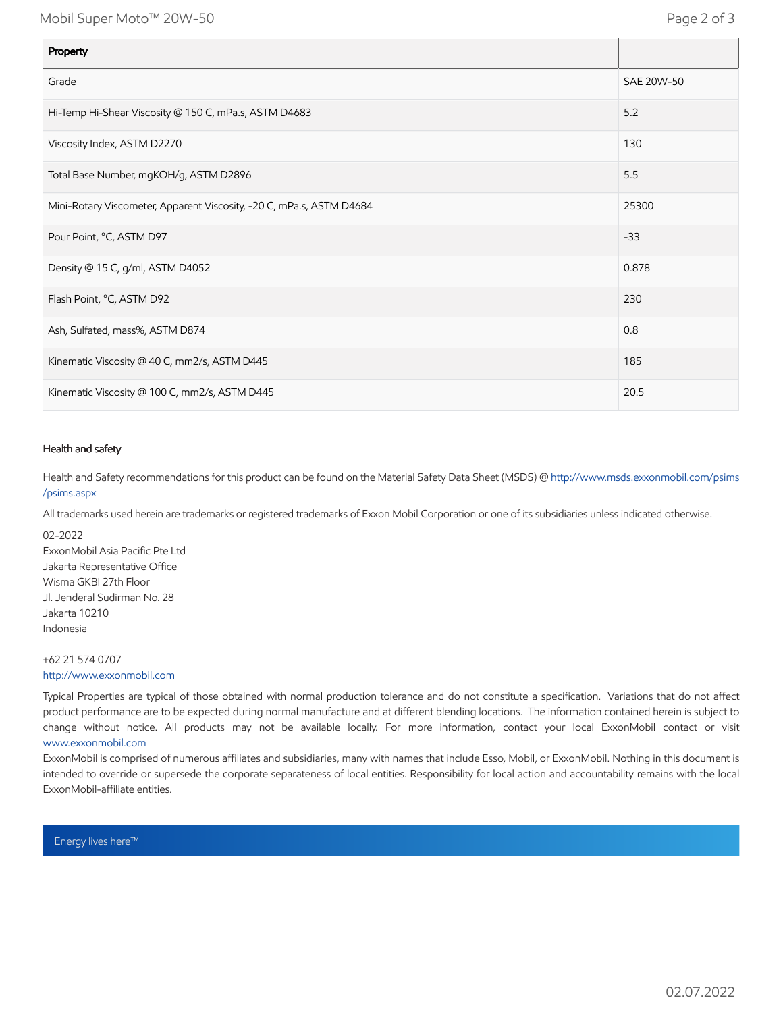Mobil Super Moto™ 20W-50 Page 2 of 3

| Property                                                             |            |
|----------------------------------------------------------------------|------------|
| Grade                                                                | SAE 20W-50 |
| Hi-Temp Hi-Shear Viscosity @ 150 C, mPa.s, ASTM D4683                | 5.2        |
| Viscosity Index, ASTM D2270                                          | 130        |
| Total Base Number, mgKOH/g, ASTM D2896                               | 5.5        |
| Mini-Rotary Viscometer, Apparent Viscosity, -20 C, mPa.s, ASTM D4684 | 25300      |
| Pour Point, °C, ASTM D97                                             | $-33$      |
| Density @ 15 C, g/ml, ASTM D4052                                     | 0.878      |
| Flash Point, °C, ASTM D92                                            | 230        |
| Ash, Sulfated, mass%, ASTM D874                                      | 0.8        |
| Kinematic Viscosity @ 40 C, mm2/s, ASTM D445                         | 185        |
| Kinematic Viscosity @ 100 C, mm2/s, ASTM D445                        | 20.5       |

#### Health and safety

Health and Safety recommendations for this product can be found on the Material Safety Data Sheet (MSDS) @ [http://www.msds.exxonmobil.com/psims](http://www.msds.exxonmobil.com/psims/psims.aspx) /psims.aspx

All trademarks used herein are trademarks or registered trademarks of Exxon Mobil Corporation or one of its subsidiaries unless indicated otherwise.

02-2022 ExxonMobil Asia Pacific Pte Ltd Jakarta Representative Office Wisma GKBI 27th Floor Jl. Jenderal Sudirman No. 28 Jakarta 10210 Indonesia

+62 21 574 0707 [http://www.exxonmobil.com](http://www.exxonmobil.com/)

Typical Properties are typical of those obtained with normal production tolerance and do not constitute a specification. Variations that do not affect product performance are to be expected during normal manufacture and at different blending locations. The information contained herein is subject to change without notice. All products may not be available locally. For more information, contact your local ExxonMobil contact or visit [www.exxonmobil.com](http://www.exxonmobil.com/)

ExxonMobil is comprised of numerous affiliates and subsidiaries, many with names that include Esso, Mobil, or ExxonMobil. Nothing in this document is intended to override or supersede the corporate separateness of local entities. Responsibility for local action and accountability remains with the local ExxonMobil-affiliate entities.